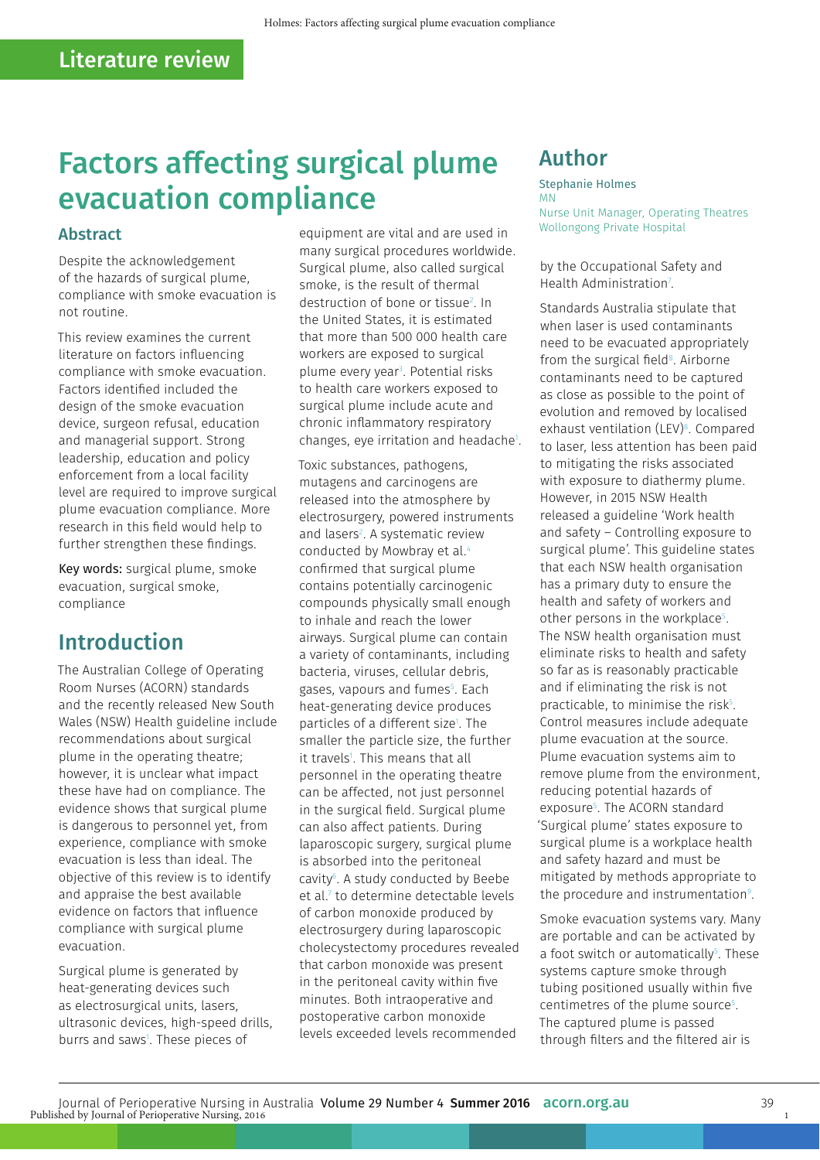# Factors affecting surgical plume evacuation compliance

#### Abstract

Despite the acknowledgement of the hazards of surgical plume, compliance with smoke evacuation is not routine.

This review examines the current literature on factors influencing compliance with smoke evacuation. Factors identified included the design of the smoke evacuation device, surgeon refusal, education and managerial support. Strong leadership, education and policy enforcement from a local facility level are required to improve surgical plume evacuation compliance. More research in this field would help to further strengthen these findings.

Key words: surgical plume, smoke evacuation, surgical smoke, compliance

### **Introduction**

The Australian College of Operating Room Nurses (ACORN) standards and the recently released New South Wales (NSW) Health guideline include recommendations about surgical plume in the operating theatre; however, it is unclear what impact these have had on compliance. The evidence shows that surgical plume is dangerous to personnel yet, from experience, compliance with smoke evacuation is less than ideal. The objective of this review is to identify and appraise the best available evidence on factors that influence compliance with surgical plume evacuation.

Surgical plume is generated by heat-generating devices such as electrosurgical units, lasers, ultrasonic devices, high-speed drills, burrs and saws<sup>1</sup>. These pieces of

equipment are vital and are used in many surgical procedures worldwide. Surgical plume, also called surgical smoke, is the result of thermal destruction of bone or tissue<sup>2</sup>. In the United States, it is estimated that more than 500 000 health care workers are exposed to surgical plume every year<sup>3</sup>. Potential risks to health care workers exposed to surgical plume include acute and chronic inflammatory respiratory changes, eye irritation and headache1 .

Toxic substances, pathogens, mutagens and carcinogens are released into the atmosphere by electrosurgery, powered instruments and lasers<sup>2</sup>. A systematic review conducted by Mowbray et al.<sup>4</sup> confirmed that surgical plume contains potentially carcinogenic compounds physically small enough to inhale and reach the lower airways. Surgical plume can contain a variety of contaminants, including bacteria, viruses, cellular debris, gases, vapours and fumes<sup>s</sup>. Each heat-generating device produces particles of a different size1 . The smaller the particle size, the further it travels<sup>1</sup>. This means that all personnel in the operating theatre can be affected, not just personnel in the surgical field. Surgical plume can also affect patients. During laparoscopic surgery, surgical plume is absorbed into the peritoneal cavity6 . A study conducted by Beebe et al.7 to determine detectable levels of carbon monoxide produced by electrosurgery during laparoscopic cholecystectomy procedures revealed that carbon monoxide was present in the peritoneal cavity within five minutes. Both intraoperative and postoperative carbon monoxide levels exceeded levels recommended

### Author

Stephanie Holmes MN Nurse Unit Manager, Operating Theatres Wollongong Private Hospital

by the Occupational Safety and Health Administration<sup>7</sup>.

Standards Australia stipulate that when laser is used contaminants need to be evacuated appropriately from the surgical field<sup>8</sup>. Airborne contaminants need to be captured as close as possible to the point of evolution and removed by localised exhaust ventilation (LEV)<sup>8</sup>. Compared to laser, less attention has been paid to mitigating the risks associated with exposure to diathermy plume. However, in 2015 NSW Health released a guideline 'Work health and safety – Controlling exposure to surgical plume'. This guideline states that each NSW health organisation has a primary duty to ensure the health and safety of workers and other persons in the workplace<sup>5</sup>. The NSW health organisation must eliminate risks to health and safety so far as is reasonably practicable and if eliminating the risk is not practicable, to minimise the risk $5$ . Control measures include adequate plume evacuation at the source. Plume evacuation systems aim to remove plume from the environment, reducing potential hazards of exposure5 . The ACORN standard 'Surgical plume' states exposure to surgical plume is a workplace health and safety hazard and must be mitigated by methods appropriate to the procedure and instrumentation<sup>9</sup>.

Smoke evacuation systems vary. Many are portable and can be activated by a foot switch or automatically<sup>5</sup>. These systems capture smoke through tubing positioned usually within five centimetres of the plume source5 . The captured plume is passed through filters and the filtered air is

1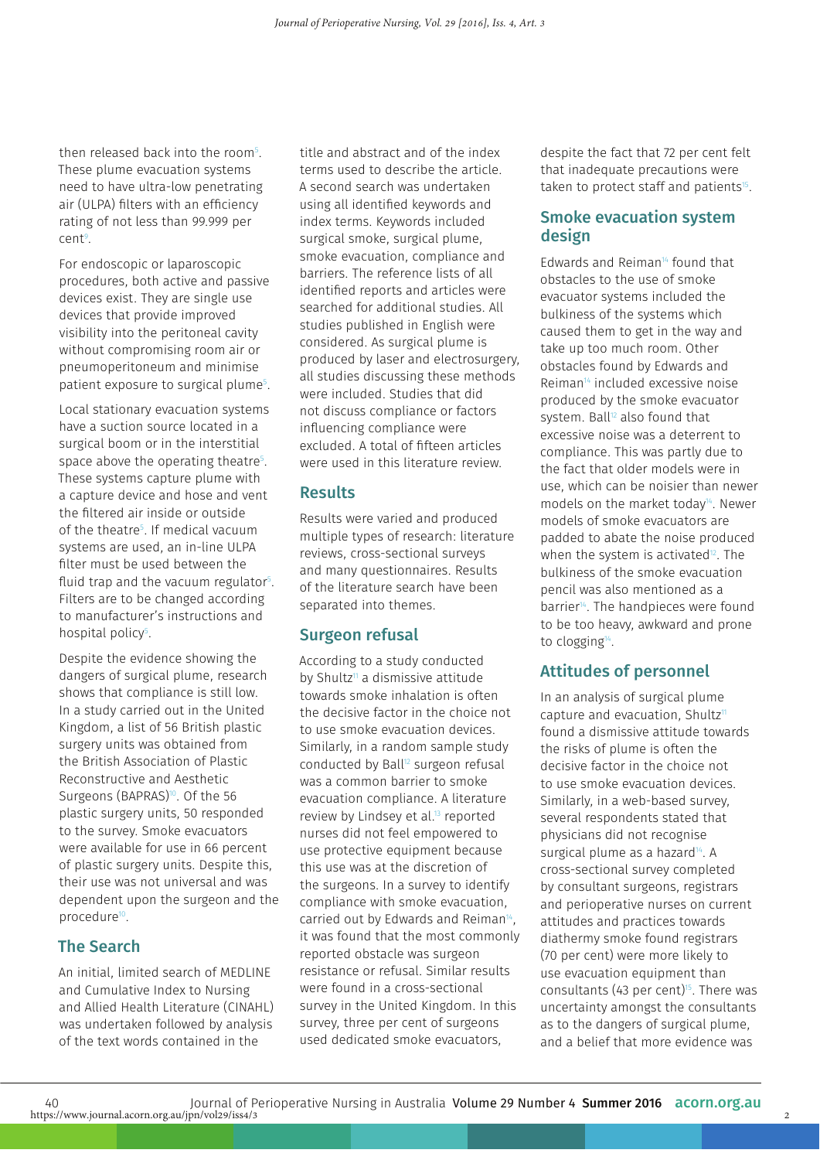then released back into the room<sup>5</sup>. These plume evacuation systems need to have ultra-low penetrating air (ULPA) filters with an efficiency rating of not less than 99.999 per cent<sup>9</sup>.

For endoscopic or laparoscopic procedures, both active and passive devices exist. They are single use devices that provide improved visibility into the peritoneal cavity without compromising room air or pneumoperitoneum and minimise patient exposure to surgical plume5 .

Local stationary evacuation systems have a suction source located in a surgical boom or in the interstitial space above the operating theatre<sup>5</sup>. These systems capture plume with a capture device and hose and vent the filtered air inside or outside of the theatre5 . If medical vacuum systems are used, an in-line ULPA filter must be used between the fluid trap and the vacuum regulator<sup>s</sup>. Filters are to be changed according to manufacturer's instructions and hospital policy<sup>5</sup>.

Despite the evidence showing the dangers of surgical plume, research shows that compliance is still low. In a study carried out in the United Kingdom, a list of 56 British plastic surgery units was obtained from the British Association of Plastic Reconstructive and Aesthetic Surgeons (BAPRAS)<sup>10</sup>. Of the 56 plastic surgery units, 50 responded to the survey. Smoke evacuators were available for use in 66 percent of plastic surgery units. Despite this, their use was not universal and was dependent upon the surgeon and the procedure10.

#### The Search

An initial, limited search of MEDLINE and Cumulative Index to Nursing and Allied Health Literature (CINAHL) was undertaken followed by analysis of the text words contained in the

title and abstract and of the index terms used to describe the article. A second search was undertaken using all identified keywords and index terms. Keywords included surgical smoke, surgical plume, smoke evacuation, compliance and barriers. The reference lists of all identified reports and articles were searched for additional studies. All studies published in English were considered. As surgical plume is produced by laser and electrosurgery, all studies discussing these methods were included. Studies that did not discuss compliance or factors influencing compliance were excluded. A total of fifteen articles were used in this literature review.

#### Results

Results were varied and produced multiple types of research: literature reviews, cross-sectional surveys and many questionnaires. Results of the literature search have been separated into themes.

#### Surgeon refusal

According to a study conducted by Shultz<sup>11</sup> a dismissive attitude towards smoke inhalation is often the decisive factor in the choice not to use smoke evacuation devices. Similarly, in a random sample study conducted by Ball<sup>12</sup> surgeon refusal was a common barrier to smoke evacuation compliance. A literature review by Lindsey et al.<sup>13</sup> reported nurses did not feel empowered to use protective equipment because this use was at the discretion of the surgeons. In a survey to identify compliance with smoke evacuation, carried out by Edwards and Reiman<sup>14</sup>. it was found that the most commonly reported obstacle was surgeon resistance or refusal. Similar results were found in a cross-sectional survey in the United Kingdom. In this survey, three per cent of surgeons used dedicated smoke evacuators,

despite the fact that 72 per cent felt that inadequate precautions were taken to protect staff and patients<sup>15</sup>.

#### Smoke evacuation system design

Edwards and Reiman<sup>14</sup> found that obstacles to the use of smoke evacuator systems included the bulkiness of the systems which caused them to get in the way and take up too much room. Other obstacles found by Edwards and Reiman14 included excessive noise produced by the smoke evacuator system. Ball<sup>12</sup> also found that excessive noise was a deterrent to compliance. This was partly due to the fact that older models were in use, which can be noisier than newer models on the market today<sup>14</sup>. Newer models of smoke evacuators are padded to abate the noise produced when the system is activated<sup>12</sup>. The bulkiness of the smoke evacuation pencil was also mentioned as a barrier<sup>14</sup>. The handpieces were found to be too heavy, awkward and prone to clogging<sup>14</sup>.

#### Attitudes of personnel

In an analysis of surgical plume capture and evacuation, Shultz<sup>11</sup> found a dismissive attitude towards the risks of plume is often the decisive factor in the choice not to use smoke evacuation devices. Similarly, in a web-based survey, several respondents stated that physicians did not recognise surgical plume as a hazard<sup>14</sup>. A cross-sectional survey completed by consultant surgeons, registrars and perioperative nurses on current attitudes and practices towards diathermy smoke found registrars (70 per cent) were more likely to use evacuation equipment than consultants (43 per cent)<sup>15</sup>. There was uncertainty amongst the consultants as to the dangers of surgical plume, and a belief that more evidence was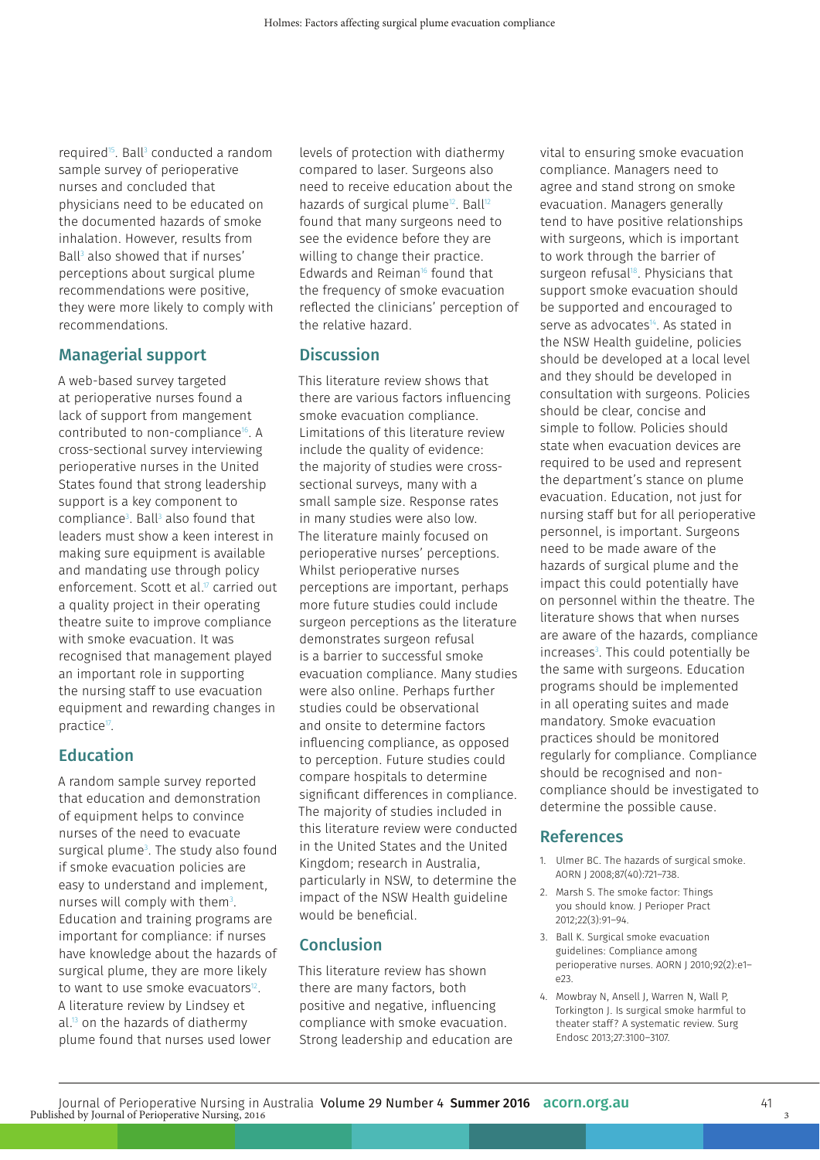required<sup>15</sup>. Ball<sup>3</sup> conducted a random sample survey of perioperative nurses and concluded that physicians need to be educated on the documented hazards of smoke inhalation. However, results from Ball<sup>3</sup> also showed that if nurses' perceptions about surgical plume recommendations were positive, they were more likely to comply with recommendations.

#### Managerial support

A web-based survey targeted at perioperative nurses found a lack of support from mangement contributed to non-compliance16. A cross-sectional survey interviewing perioperative nurses in the United States found that strong leadership support is a key component to compliance<sup>3</sup>. Ball<sup>3</sup> also found that leaders must show a keen interest in making sure equipment is available and mandating use through policy enforcement. Scott et al.<sup>17</sup> carried out a quality project in their operating theatre suite to improve compliance with smoke evacuation. It was recognised that management played an important role in supporting the nursing staff to use evacuation equipment and rewarding changes in practice17.

#### Education

A random sample survey reported that education and demonstration of equipment helps to convince nurses of the need to evacuate surgical plume3 . The study also found if smoke evacuation policies are easy to understand and implement, nurses will comply with them<sup>3</sup>. Education and training programs are important for compliance: if nurses have knowledge about the hazards of surgical plume, they are more likely to want to use smoke evacuators<sup>12</sup>. A literature review by Lindsey et al.13 on the hazards of diathermy plume found that nurses used lower

levels of protection with diathermy compared to laser. Surgeons also need to receive education about the hazards of surgical plume<sup>12</sup>. Ball<sup>12</sup> found that many surgeons need to see the evidence before they are willing to change their practice. Edwards and Reiman<sup>16</sup> found that the frequency of smoke evacuation reflected the clinicians' perception of the relative hazard.

#### **Discussion**

This literature review shows that there are various factors influencing smoke evacuation compliance. Limitations of this literature review include the quality of evidence: the majority of studies were crosssectional surveys, many with a small sample size. Response rates in many studies were also low. The literature mainly focused on perioperative nurses' perceptions. Whilst perioperative nurses perceptions are important, perhaps more future studies could include surgeon perceptions as the literature demonstrates surgeon refusal is a barrier to successful smoke evacuation compliance. Many studies were also online. Perhaps further studies could be observational and onsite to determine factors influencing compliance, as opposed to perception. Future studies could compare hospitals to determine significant differences in compliance. The majority of studies included in this literature review were conducted in the United States and the United Kingdom; research in Australia, particularly in NSW, to determine the impact of the NSW Health guideline would be beneficial.

#### Conclusion

This literature review has shown there are many factors, both positive and negative, influencing compliance with smoke evacuation. Strong leadership and education are vital to ensuring smoke evacuation compliance. Managers need to agree and stand strong on smoke evacuation. Managers generally tend to have positive relationships with surgeons, which is important to work through the barrier of surgeon refusal<sup>18</sup>. Physicians that support smoke evacuation should be supported and encouraged to serve as advocates<sup>14</sup>. As stated in the NSW Health guideline, policies should be developed at a local level and they should be developed in consultation with surgeons. Policies should be clear, concise and simple to follow. Policies should state when evacuation devices are required to be used and represent the department's stance on plume evacuation. Education, not just for nursing staff but for all perioperative personnel, is important. Surgeons need to be made aware of the hazards of surgical plume and the impact this could potentially have on personnel within the theatre. The literature shows that when nurses are aware of the hazards, compliance increases<sup>3</sup>. This could potentially be the same with surgeons. Education programs should be implemented in all operating suites and made mandatory. Smoke evacuation practices should be monitored regularly for compliance. Compliance should be recognised and noncompliance should be investigated to determine the possible cause.

#### References

- 1. Ulmer BC. The hazards of surgical smoke. AORN J 2008;87(40):721–738.
- 2. Marsh S. The smoke factor: Things you should know. J Perioper Pract 2012;22(3):91–94.
- 3. Ball K. Surgical smoke evacuation guidelines: Compliance among perioperative nurses. AORN J 2010;92(2):e1–  $P$
- 4. Mowbray N, Ansell J, Warren N, Wall P, Torkington J. Is surgical smoke harmful to theater staff? A systematic review. Surg Endosc 2013;27:3100–3107.

3